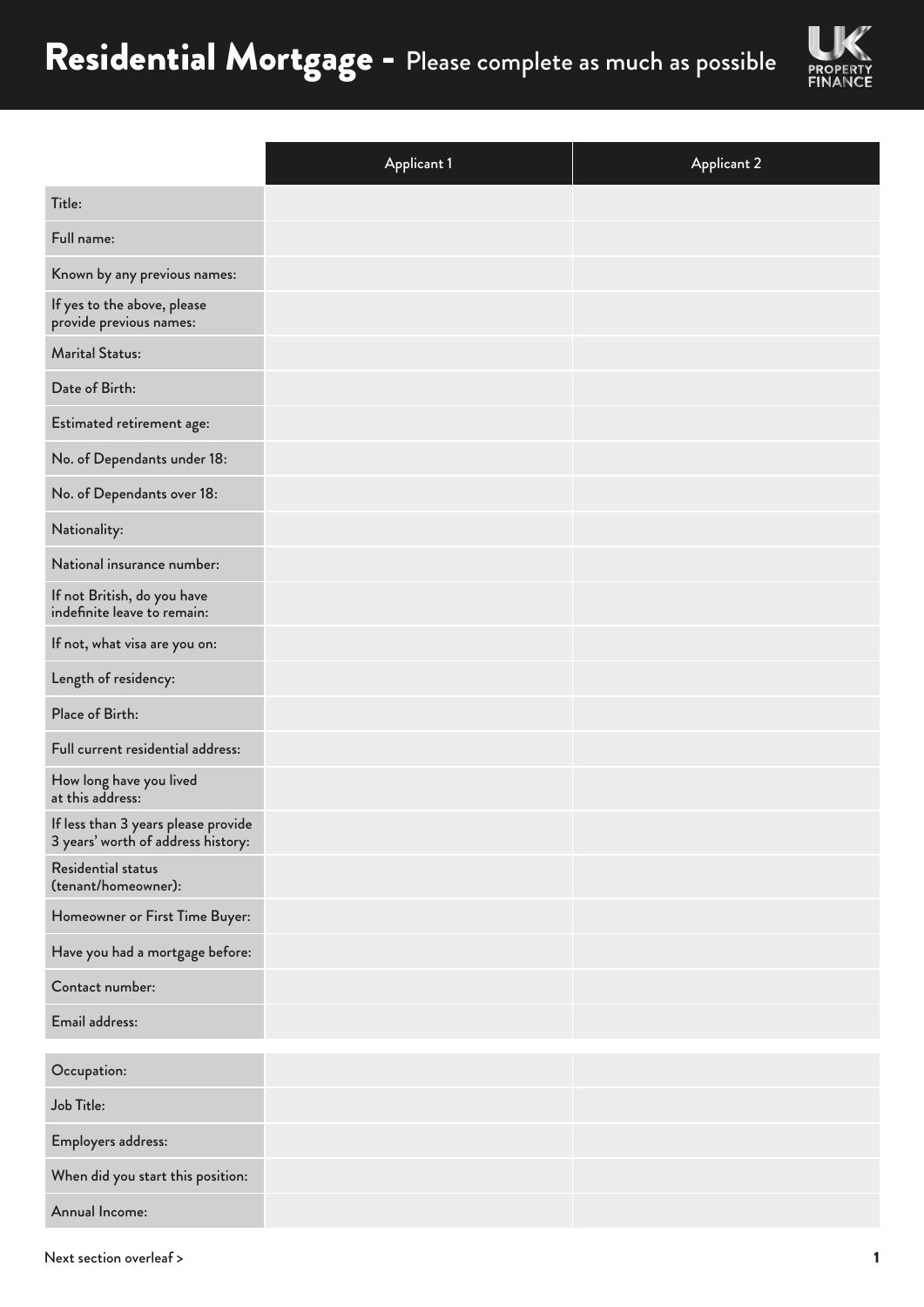

|                                                                           | <b>Applicant 1</b> | <b>Applicant 2</b> |
|---------------------------------------------------------------------------|--------------------|--------------------|
| Title:                                                                    |                    |                    |
| Full name:                                                                |                    |                    |
| Known by any previous names:                                              |                    |                    |
| If yes to the above, please<br>provide previous names:                    |                    |                    |
| <b>Marital Status:</b>                                                    |                    |                    |
| Date of Birth:                                                            |                    |                    |
| Estimated retirement age:                                                 |                    |                    |
| No. of Dependants under 18:                                               |                    |                    |
| No. of Dependants over 18:                                                |                    |                    |
| Nationality:                                                              |                    |                    |
| National insurance number:                                                |                    |                    |
| If not British, do you have<br>indefinite leave to remain:                |                    |                    |
| If not, what visa are you on:                                             |                    |                    |
| Length of residency:                                                      |                    |                    |
| Place of Birth:                                                           |                    |                    |
| Full current residential address:                                         |                    |                    |
| How long have you lived<br>at this address:                               |                    |                    |
| If less than 3 years please provide<br>3 years' worth of address history: |                    |                    |
| Residential status<br>(tenant/homeowner):                                 |                    |                    |
| Homeowner or First Time Buyer:                                            |                    |                    |
| Have you had a mortgage before:                                           |                    |                    |
| Contact number:                                                           |                    |                    |
| Email address:                                                            |                    |                    |
| Occupation:                                                               |                    |                    |
| Job Title:                                                                |                    |                    |
| Employers address:                                                        |                    |                    |
| When did you start this position:                                         |                    |                    |
| Annual Income:                                                            |                    |                    |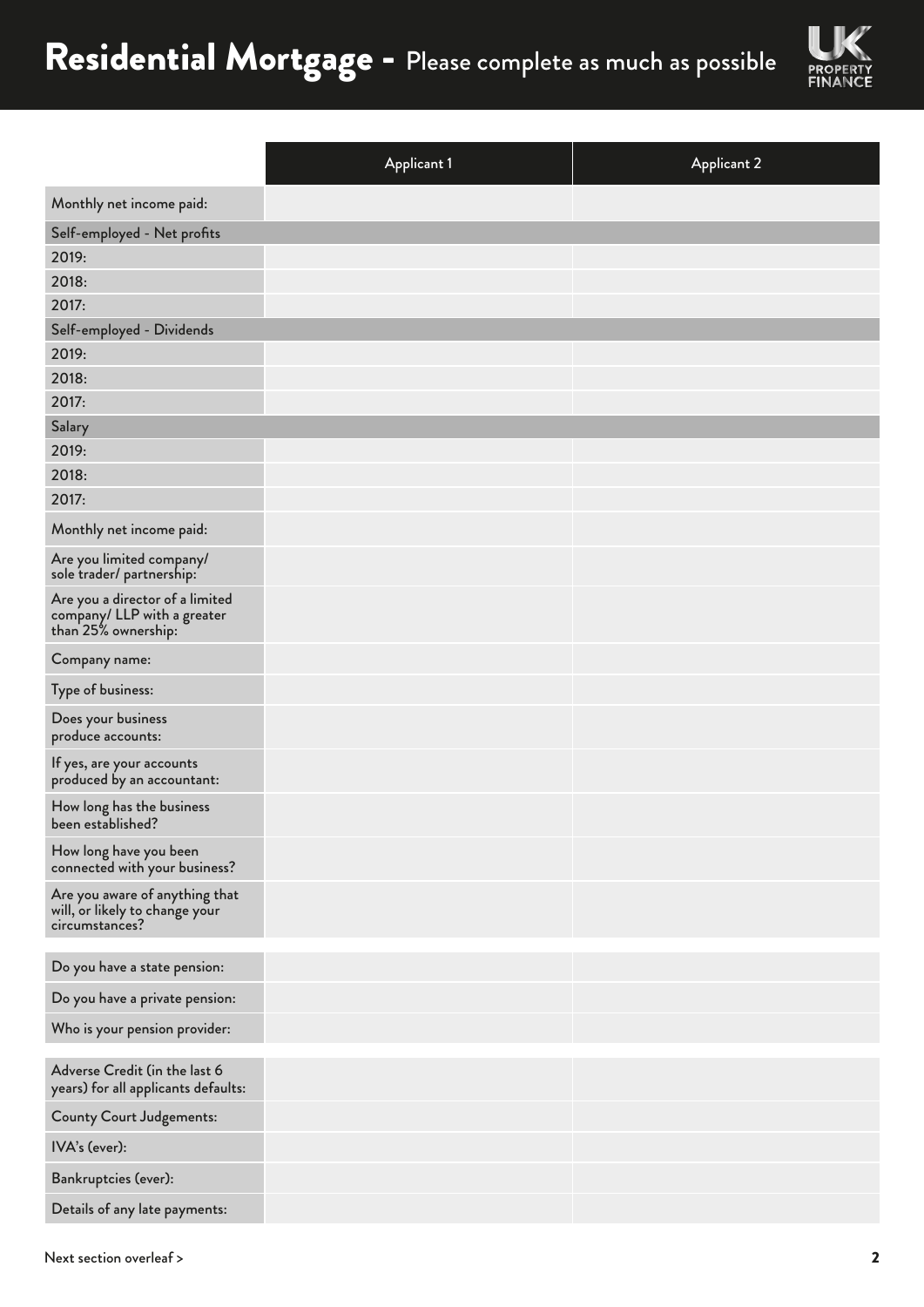

|                                                                                       | <b>Applicant 1</b> | <b>Applicant 2</b> |
|---------------------------------------------------------------------------------------|--------------------|--------------------|
| Monthly net income paid:                                                              |                    |                    |
| Self-employed - Net profits                                                           |                    |                    |
| 2019:                                                                                 |                    |                    |
| 2018:                                                                                 |                    |                    |
| 2017:                                                                                 |                    |                    |
| Self-employed - Dividends                                                             |                    |                    |
| 2019:                                                                                 |                    |                    |
| 2018:                                                                                 |                    |                    |
| 2017:                                                                                 |                    |                    |
| Salary                                                                                |                    |                    |
| 2019:                                                                                 |                    |                    |
| 2018:                                                                                 |                    |                    |
| 2017:                                                                                 |                    |                    |
| Monthly net income paid:                                                              |                    |                    |
| Are you limited company/<br>sole trader/ partnership:                                 |                    |                    |
| Are you a director of a limited<br>company/ LLP with a greater<br>than 25% ownership: |                    |                    |
| Company name:                                                                         |                    |                    |
| Type of business:                                                                     |                    |                    |
| Does your business<br>produce accounts:                                               |                    |                    |
| If yes, are your accounts<br>produced by an accountant:                               |                    |                    |
| How long has the business<br>been established?                                        |                    |                    |
| How long have you been<br>connected with your business?                               |                    |                    |
| Are you aware of anything that<br>will, or likely to change your<br>circumstances?    |                    |                    |
| Do you have a state pension:                                                          |                    |                    |
| Do you have a private pension:                                                        |                    |                    |
| Who is your pension provider:                                                         |                    |                    |
|                                                                                       |                    |                    |
| Adverse Credit (in the last 6<br>years) for all applicants defaults:                  |                    |                    |
| <b>County Court Judgements:</b>                                                       |                    |                    |
| IVA's (ever):                                                                         |                    |                    |
| Bankruptcies (ever):                                                                  |                    |                    |
| Details of any late payments:                                                         |                    |                    |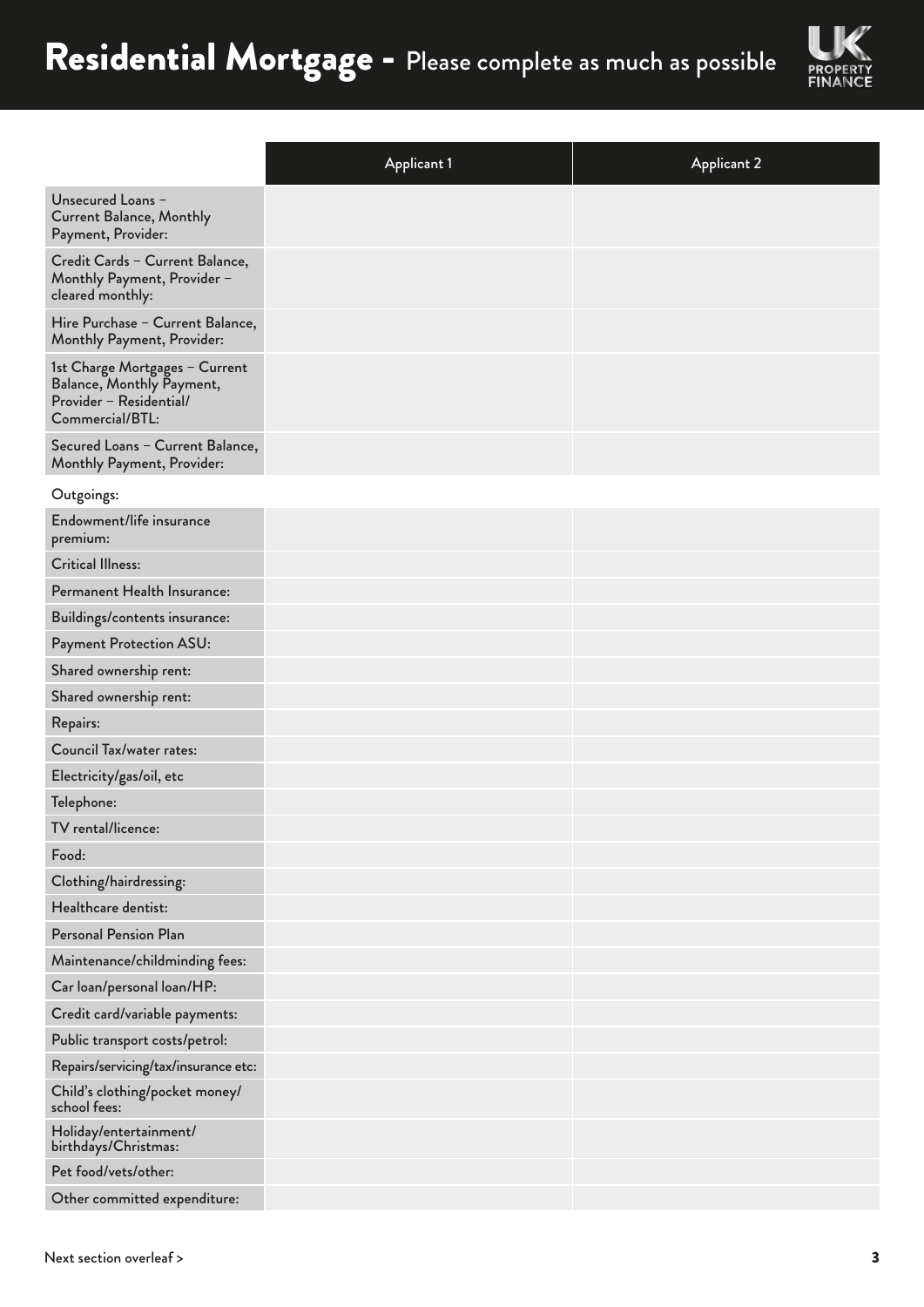

|                                                                                                           | <b>Applicant 1</b> | <b>Applicant 2</b> |
|-----------------------------------------------------------------------------------------------------------|--------------------|--------------------|
| Unsecured Loans -<br><b>Current Balance, Monthly</b><br>Payment, Provider:                                |                    |                    |
| Credit Cards - Current Balance,<br>Monthly Payment, Provider -<br>cleared monthly:                        |                    |                    |
| Hire Purchase - Current Balance,<br>Monthly Payment, Provider:                                            |                    |                    |
| 1st Charge Mortgages - Current<br>Balance, Monthly Payment,<br>Provider - Residential/<br>Commercial/BTL: |                    |                    |
| Secured Loans - Current Balance,<br>Monthly Payment, Provider:                                            |                    |                    |
| Outgoings:                                                                                                |                    |                    |
| Endowment/life insurance<br>premium:                                                                      |                    |                    |
| <b>Critical Illness:</b>                                                                                  |                    |                    |
| Permanent Health Insurance:                                                                               |                    |                    |
| Buildings/contents insurance:                                                                             |                    |                    |
| Payment Protection ASU:                                                                                   |                    |                    |
| Shared ownership rent:                                                                                    |                    |                    |
| Shared ownership rent:                                                                                    |                    |                    |
| Repairs:                                                                                                  |                    |                    |
| <b>Council Tax/water rates:</b>                                                                           |                    |                    |
| Electricity/gas/oil, etc                                                                                  |                    |                    |
| Telephone:                                                                                                |                    |                    |
| TV rental/licence:                                                                                        |                    |                    |
| Food:                                                                                                     |                    |                    |
| Clothing/hairdressing:                                                                                    |                    |                    |
| Healthcare dentist:                                                                                       |                    |                    |
| <b>Personal Pension Plan</b>                                                                              |                    |                    |
| Maintenance/childminding fees:                                                                            |                    |                    |
| Car loan/personal loan/HP:                                                                                |                    |                    |
| Credit card/variable payments:                                                                            |                    |                    |
| Public transport costs/petrol:                                                                            |                    |                    |
| Repairs/servicing/tax/insurance etc:                                                                      |                    |                    |
| Child's clothing/pocket money/<br>school fees:                                                            |                    |                    |
| Holiday/entertainment/<br>birthdays/Christmas:                                                            |                    |                    |
| Pet food/vets/other:                                                                                      |                    |                    |
| Other committed expenditure:                                                                              |                    |                    |